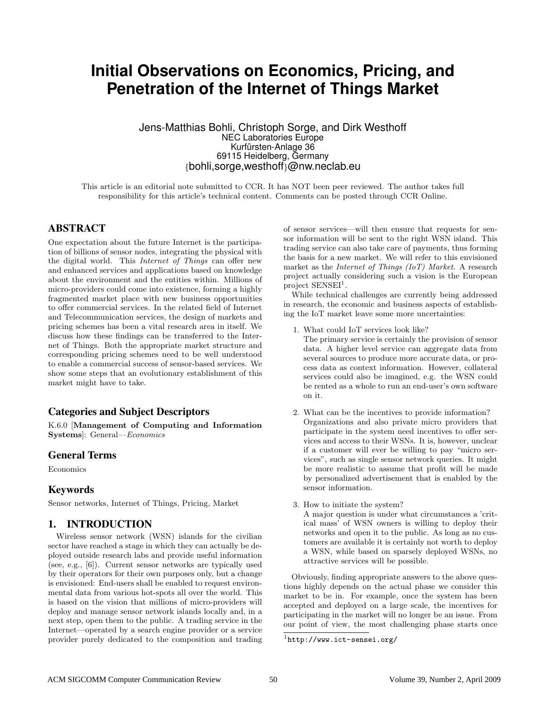# **Initial Observations on Economics, Pricing, and Penetration of the Internet of Things Market**

Jens-Matthias Bohli, Christoph Sorge, and Dirk Westhoff NEC Laboratories Europe Kurfürsten-Anlage 36 69115 Heidelberg, Germany {bohli,sorge,westhoff}@nw.neclab.eu

This article is an editorial note submitted to CCR. It has NOT been peer reviewed. The author takes full responsibility for this article's technical content. Comments can be posted through CCR Online.

# ABSTRACT

One expectation about the future Internet is the participation of billions of sensor nodes, integrating the physical with the digital world. This Internet of Things can offer new and enhanced services and applications based on knowledge about the environment and the entities within. Millions of micro-providers could come into existence, forming a highly fragmented market place with new business opportunities to offer commercial services. In the related field of Internet and Telecommunication services, the design of markets and pricing schemes has been a vital research area in itself. We discuss how these findings can be transferred to the Internet of Things. Both the appropriate market structure and corresponding pricing schemes need to be well understood to enable a commercial success of sensor-based services. We show some steps that an evolutionary establishment of this market might have to take.

### Categories and Subject Descriptors

K.6.0 [Management of Computing and Information Systems]: General—Economics

### General Terms

Economics

### Keywords

Sensor networks, Internet of Things, Pricing, Market

### 1. INTRODUCTION

Wireless sensor network (WSN) islands for the civilian sector have reached a stage in which they can actually be deployed outside research labs and provide useful information (see, e.g., [6]). Current sensor networks are typically used by their operators for their own purposes only, but a change is envisioned: End-users shall be enabled to request environmental data from various hot-spots all over the world. This is based on the vision that millions of micro-providers will deploy and manage sensor network islands locally and, in a next step, open them to the public. A trading service in the Internet—operated by a search engine provider or a service provider purely dedicated to the composition and trading of sensor services—will then ensure that requests for sensor information will be sent to the right WSN island. This trading service can also take care of payments, thus forming the basis for a new market. We will refer to this envisioned market as the Internet of Things (IoT) Market. A research project actually considering such a vision is the European project SENSEI<sup>1</sup>.

While technical challenges are currently being addressed in research, the economic and business aspects of establishing the IoT market leave some more uncertainties:

1. What could IoT services look like?

The primary service is certainly the provision of sensor data. A higher level service can aggregate data from several sources to produce more accurate data, or process data as context information. However, collateral services could also be imagined, e.g. the WSN could be rented as a whole to run an end-user's own software on it.

- 2. What can be the incentives to provide information? Organizations and also private micro providers that participate in the system need incentives to offer services and access to their WSNs. It is, however, unclear if a customer will ever be willing to pay "micro services", such as single sensor network queries. It might be more realistic to assume that profit will be made by personalized advertisement that is enabled by the sensor information.
- 3. How to initiate the system?

A major question is under what circumstances a 'critical mass' of WSN owners is willing to deploy their networks and open it to the public. As long as no customers are available it is certainly not worth to deploy a WSN, while based on sparsely deployed WSNs, no attractive services will be possible.

Obviously, finding appropriate answers to the above questions highly depends on the actual phase we consider this market to be in. For example, once the system has been accepted and deployed on a large scale, the incentives for participating in the market will no longer be an issue. From our point of view, the most challenging phase starts once

<sup>1</sup> http://www.ict-sensei.org/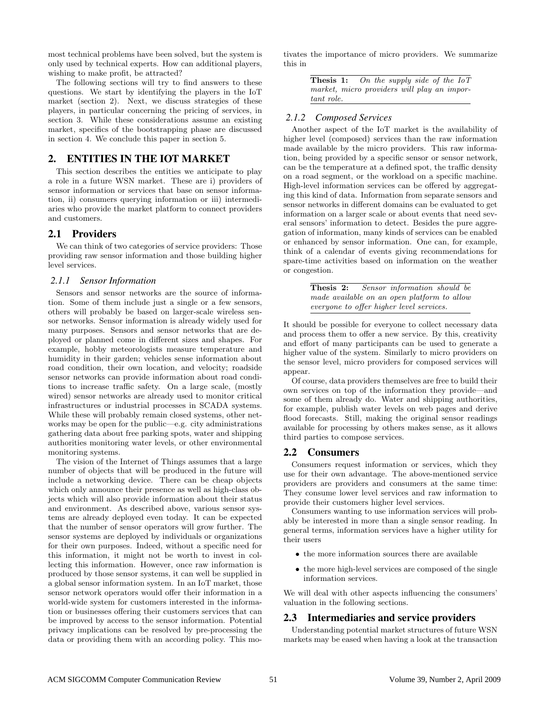most technical problems have been solved, but the system is only used by technical experts. How can additional players, wishing to make profit, be attracted?

The following sections will try to find answers to these questions. We start by identifying the players in the IoT market (section 2). Next, we discuss strategies of these players, in particular concerning the pricing of services, in section 3. While these considerations assume an existing market, specifics of the bootstrapping phase are discussed in section 4. We conclude this paper in section 5.

# 2. ENTITIES IN THE IOT MARKET

This section describes the entities we anticipate to play a role in a future WSN market. These are i) providers of sensor information or services that base on sensor information, ii) consumers querying information or iii) intermediaries who provide the market platform to connect providers and customers.

### 2.1 Providers

We can think of two categories of service providers: Those providing raw sensor information and those building higher level services.

### *2.1.1 Sensor Information*

Sensors and sensor networks are the source of information. Some of them include just a single or a few sensors, others will probably be based on larger-scale wireless sensor networks. Sensor information is already widely used for many purposes. Sensors and sensor networks that are deployed or planned come in different sizes and shapes. For example, hobby meteorologists measure temperature and humidity in their garden; vehicles sense information about road condition, their own location, and velocity; roadside sensor networks can provide information about road conditions to increase traffic safety. On a large scale, (mostly wired) sensor networks are already used to monitor critical infrastructures or industrial processes in SCADA systems. While these will probably remain closed systems, other networks may be open for the public—e.g. city administrations gathering data about free parking spots, water and shipping authorities monitoring water levels, or other environmental monitoring systems.

The vision of the Internet of Things assumes that a large number of objects that will be produced in the future will include a networking device. There can be cheap objects which only announce their presence as well as high-class objects which will also provide information about their status and environment. As described above, various sensor systems are already deployed even today. It can be expected that the number of sensor operators will grow further. The sensor systems are deployed by individuals or organizations for their own purposes. Indeed, without a specific need for this information, it might not be worth to invest in collecting this information. However, once raw information is produced by those sensor systems, it can well be supplied in a global sensor information system. In an IoT market, those sensor network operators would offer their information in a world-wide system for customers interested in the information or businesses offering their customers services that can be improved by access to the sensor information. Potential privacy implications can be resolved by pre-processing the data or providing them with an according policy. This motivates the importance of micro providers. We summarize this in

> **Thesis 1:** On the supply side of the  $I \circ T$ market, micro providers will play an important role.

### *2.1.2 Composed Services*

Another aspect of the IoT market is the availability of higher level (composed) services than the raw information made available by the micro providers. This raw information, being provided by a specific sensor or sensor network, can be the temperature at a defined spot, the traffic density on a road segment, or the workload on a specific machine. High-level information services can be offered by aggregating this kind of data. Information from separate sensors and sensor networks in different domains can be evaluated to get information on a larger scale or about events that need several sensors' information to detect. Besides the pure aggregation of information, many kinds of services can be enabled or enhanced by sensor information. One can, for example, think of a calendar of events giving recommendations for spare-time activities based on information on the weather or congestion.

> Thesis 2: Sensor information should be made available on an open platform to allow everyone to offer higher level services.

It should be possible for everyone to collect necessary data and process them to offer a new service. By this, creativity and effort of many participants can be used to generate a higher value of the system. Similarly to micro providers on the sensor level, micro providers for composed services will appear.

Of course, data providers themselves are free to build their own services on top of the information they provide—and some of them already do. Water and shipping authorities, for example, publish water levels on web pages and derive flood forecasts. Still, making the original sensor readings available for processing by others makes sense, as it allows third parties to compose services.

### 2.2 Consumers

Consumers request information or services, which they use for their own advantage. The above-mentioned service providers are providers and consumers at the same time: They consume lower level services and raw information to provide their customers higher level services.

Consumers wanting to use information services will probably be interested in more than a single sensor reading. In general terms, information services have a higher utility for their users

- the more information sources there are available
- the more high-level services are composed of the single information services.

We will deal with other aspects influencing the consumers' valuation in the following sections.

### 2.3 Intermediaries and service providers

Understanding potential market structures of future WSN markets may be eased when having a look at the transaction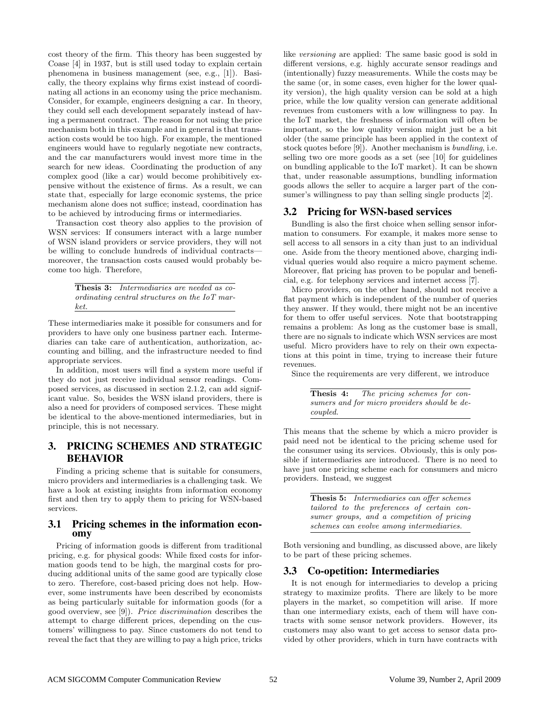cost theory of the firm. This theory has been suggested by Coase [4] in 1937, but is still used today to explain certain phenomena in business management (see, e.g., [1]). Basically, the theory explains why firms exist instead of coordinating all actions in an economy using the price mechanism. Consider, for example, engineers designing a car. In theory, they could sell each development separately instead of having a permanent contract. The reason for not using the price mechanism both in this example and in general is that transaction costs would be too high. For example, the mentioned engineers would have to regularly negotiate new contracts, and the car manufacturers would invest more time in the search for new ideas. Coordinating the production of any complex good (like a car) would become prohibitively expensive without the existence of firms. As a result, we can state that, especially for large economic systems, the price mechanism alone does not suffice; instead, coordination has to be achieved by introducing firms or intermediaries.

Transaction cost theory also applies to the provision of WSN services: If consumers interact with a large number of WSN island providers or service providers, they will not be willing to conclude hundreds of individual contracts moreover, the transaction costs caused would probably become too high. Therefore,

> Thesis 3: Intermediaries are needed as coordinating central structures on the IoT market.

These intermediaries make it possible for consumers and for providers to have only one business partner each. Intermediaries can take care of authentication, authorization, accounting and billing, and the infrastructure needed to find appropriate services.

In addition, most users will find a system more useful if they do not just receive individual sensor readings. Composed services, as discussed in section 2.1.2, can add significant value. So, besides the WSN island providers, there is also a need for providers of composed services. These might be identical to the above-mentioned intermediaries, but in principle, this is not necessary.

# 3. PRICING SCHEMES AND STRATEGIC BEHAVIOR

Finding a pricing scheme that is suitable for consumers, micro providers and intermediaries is a challenging task. We have a look at existing insights from information economy first and then try to apply them to pricing for WSN-based services.

### 3.1 Pricing schemes in the information economy

Pricing of information goods is different from traditional pricing, e.g. for physical goods: While fixed costs for information goods tend to be high, the marginal costs for producing additional units of the same good are typically close to zero. Therefore, cost-based pricing does not help. However, some instruments have been described by economists as being particularly suitable for information goods (for a good overview, see [9]). Price discrimination describes the attempt to charge different prices, depending on the customers' willingness to pay. Since customers do not tend to reveal the fact that they are willing to pay a high price, tricks like versioning are applied: The same basic good is sold in different versions, e.g. highly accurate sensor readings and (intentionally) fuzzy measurements. While the costs may be the same (or, in some cases, even higher for the lower quality version), the high quality version can be sold at a high price, while the low quality version can generate additional revenues from customers with a low willingness to pay. In the IoT market, the freshness of information will often be important, so the low quality version might just be a bit older (the same principle has been applied in the context of stock quotes before [9]). Another mechanism is bundling, i.e. selling two ore more goods as a set (see [10] for guidelines on bundling applicable to the IoT market). It can be shown that, under reasonable assumptions, bundling information goods allows the seller to acquire a larger part of the consumer's willingness to pay than selling single products [2].

## 3.2 Pricing for WSN-based services

Bundling is also the first choice when selling sensor information to consumers. For example, it makes more sense to sell access to all sensors in a city than just to an individual one. Aside from the theory mentioned above, charging individual queries would also require a micro payment scheme. Moreover, flat pricing has proven to be popular and beneficial, e.g. for telephony services and internet access [7].

Micro providers, on the other hand, should not receive a flat payment which is independent of the number of queries they answer. If they would, there might not be an incentive for them to offer useful services. Note that bootstrapping remains a problem: As long as the customer base is small, there are no signals to indicate which WSN services are most useful. Micro providers have to rely on their own expectations at this point in time, trying to increase their future revenues.

Since the requirements are very different, we introduce

Thesis 4: The pricing schemes for consumers and for micro providers should be decoupled.

This means that the scheme by which a micro provider is paid need not be identical to the pricing scheme used for the consumer using its services. Obviously, this is only possible if intermediaries are introduced. There is no need to have just one pricing scheme each for consumers and micro providers. Instead, we suggest

> Thesis 5: Intermediaries can offer schemes tailored to the preferences of certain consumer groups, and a competition of pricing schemes can evolve among intermediaries.

Both versioning and bundling, as discussed above, are likely to be part of these pricing schemes.

# 3.3 Co-opetition: Intermediaries

It is not enough for intermediaries to develop a pricing strategy to maximize profits. There are likely to be more players in the market, so competition will arise. If more than one intermediary exists, each of them will have contracts with some sensor network providers. However, its customers may also want to get access to sensor data provided by other providers, which in turn have contracts with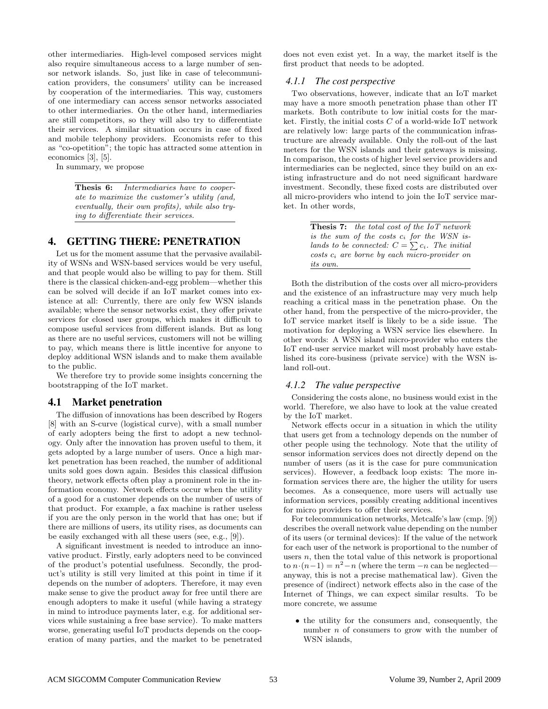other intermediaries. High-level composed services might also require simultaneous access to a large number of sensor network islands. So, just like in case of telecommunication providers, the consumers' utility can be increased by cooperation of the intermediaries. This way, customers of one intermediary can access sensor networks associated to other intermediaries. On the other hand, intermediaries are still competitors, so they will also try to differentiate their services. A similar situation occurs in case of fixed and mobile telephony providers. Economists refer to this as "co-opetition"; the topic has attracted some attention in economics [3], [5].

In summary, we propose

Thesis 6: Intermediaries have to cooperate to maximize the customer's utility (and, eventually, their own profits), while also trying to differentiate their services.

### 4. GETTING THERE: PENETRATION

Let us for the moment assume that the pervasive availability of WSNs and WSN-based services would be very useful, and that people would also be willing to pay for them. Still there is the classical chicken-and-egg problem—whether this can be solved will decide if an IoT market comes into existence at all: Currently, there are only few WSN islands available; where the sensor networks exist, they offer private services for closed user groups, which makes it difficult to compose useful services from different islands. But as long as there are no useful services, customers will not be willing to pay, which means there is little incentive for anyone to deploy additional WSN islands and to make them available to the public.

We therefore try to provide some insights concerning the bootstrapping of the IoT market.

#### 4.1 Market penetration

The diffusion of innovations has been described by Rogers [8] with an S-curve (logistical curve), with a small number of early adopters being the first to adopt a new technology. Only after the innovation has proven useful to them, it gets adopted by a large number of users. Once a high market penetration has been reached, the number of additional units sold goes down again. Besides this classical diffusion theory, network effects often play a prominent role in the information economy. Network effects occur when the utility of a good for a customer depends on the number of users of that product. For example, a fax machine is rather useless if you are the only person in the world that has one; but if there are millions of users, its utility rises, as documents can be easily exchanged with all these users (see, e.g., [9]).

A significant investment is needed to introduce an innovative product. Firstly, early adopters need to be convinced of the product's potential usefulness. Secondly, the product's utility is still very limited at this point in time if it depends on the number of adopters. Therefore, it may even make sense to give the product away for free until there are enough adopters to make it useful (while having a strategy in mind to introduce payments later, e.g. for additional services while sustaining a free base service). To make matters worse, generating useful IoT products depends on the cooperation of many parties, and the market to be penetrated does not even exist yet. In a way, the market itself is the first product that needs to be adopted.

#### *4.1.1 The cost perspective*

Two observations, however, indicate that an IoT market may have a more smooth penetration phase than other IT markets. Both contribute to low initial costs for the market. Firstly, the initial costs  $C$  of a world-wide IoT network are relatively low: large parts of the communication infrastructure are already available. Only the roll-out of the last meters for the WSN islands and their gateways is missing. In comparison, the costs of higher level service providers and intermediaries can be neglected, since they build on an existing infrastructure and do not need significant hardware investment. Secondly, these fixed costs are distributed over all micro-providers who intend to join the IoT service market. In other words,

> Thesis 7: the total cost of the IoT network is the sum of the costs  $c_i$  for the WSN islands to be connected:  $C = \sum c_i$ . The initial costs c<sup>i</sup> are borne by each micro-provider on its own.

Both the distribution of the costs over all micro-providers and the existence of an infrastructure may very much help reaching a critical mass in the penetration phase. On the other hand, from the perspective of the micro-provider, the IoT service market itself is likely to be a side issue. The motivation for deploying a WSN service lies elsewhere. In other words: A WSN island micro-provider who enters the IoT end-user service market will most probably have established its core-business (private service) with the WSN island roll-out.

#### *4.1.2 The value perspective*

Considering the costs alone, no business would exist in the world. Therefore, we also have to look at the value created by the IoT market.

Network effects occur in a situation in which the utility that users get from a technology depends on the number of other people using the technology. Note that the utility of sensor information services does not directly depend on the number of users (as it is the case for pure communication services). However, a feedback loop exists: The more information services there are, the higher the utility for users becomes. As a consequence, more users will actually use information services, possibly creating additional incentives for micro providers to offer their services.

For telecommunication networks, Metcalfe's law (cmp. [9]) describes the overall network value depending on the number of its users (or terminal devices): If the value of the network for each user of the network is proportional to the number of users  $n$ , then the total value of this network is proportional to  $n \cdot (n-1) = n^2 - n$  (where the term  $-n$  can be neglected anyway, this is not a precise mathematical law). Given the presence of (indirect) network effects also in the case of the Internet of Things, we can expect similar results. To be more concrete, we assume

• the utility for the consumers and, consequently, the number  $n$  of consumers to grow with the number of WSN islands,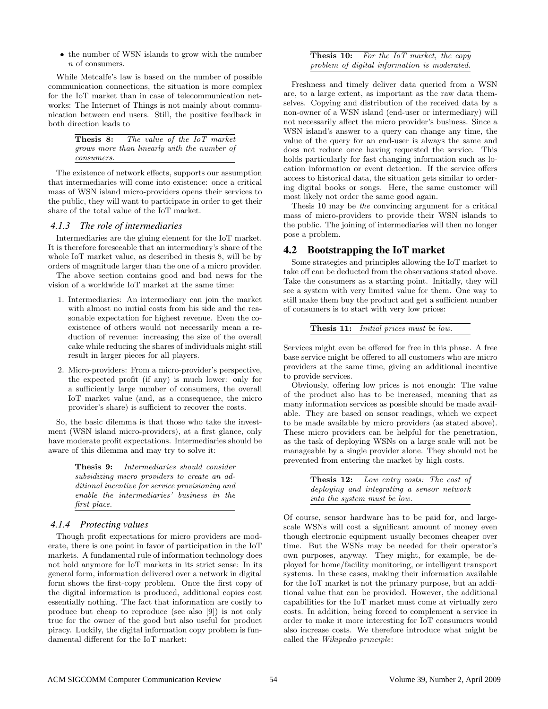• the number of WSN islands to grow with the number n of consumers.

While Metcalfe's law is based on the number of possible communication connections, the situation is more complex for the IoT market than in case of telecommunication networks: The Internet of Things is not mainly about communication between end users. Still, the positive feedback in both direction leads to

> Thesis 8: The value of the  $I$ oT market grows more than linearly with the number of consumers.

The existence of network effects, supports our assumption that intermediaries will come into existence: once a critical mass of WSN island micro-providers opens their services to the public, they will want to participate in order to get their share of the total value of the IoT market.

#### *4.1.3 The role of intermediaries*

Intermediaries are the gluing element for the IoT market. It is therefore foreseeable that an intermediary's share of the whole IoT market value, as described in thesis 8, will be by orders of magnitude larger than the one of a micro provider.

The above section contains good and bad news for the vision of a worldwide IoT market at the same time:

- 1. Intermediaries: An intermediary can join the market with almost no initial costs from his side and the reasonable expectation for highest revenue. Even the coexistence of others would not necessarily mean a reduction of revenue: increasing the size of the overall cake while reducing the shares of individuals might still result in larger pieces for all players.
- 2. Micro-providers: From a micro-provider's perspective, the expected profit (if any) is much lower: only for a sufficiently large number of consumers, the overall IoT market value (and, as a consequence, the micro provider's share) is sufficient to recover the costs.

So, the basic dilemma is that those who take the investment (WSN island micro-providers), at a first glance, only have moderate profit expectations. Intermediaries should be aware of this dilemma and may try to solve it:

> Thesis 9: Intermediaries should consider subsidizing micro providers to create an additional incentive for service provisioning and enable the intermediaries' business in the first place.

### *4.1.4 Protecting values*

Though profit expectations for micro providers are moderate, there is one point in favor of participation in the IoT markets. A fundamental rule of information technology does not hold anymore for IoT markets in its strict sense: In its general form, information delivered over a network in digital form shows the first-copy problem. Once the first copy of the digital information is produced, additional copies cost essentially nothing. The fact that information are costly to produce but cheap to reproduce (see also [9]) is not only true for the owner of the good but also useful for product piracy. Luckily, the digital information copy problem is fundamental different for the IoT market:

#### Thesis 10: For the IoT market, the copy problem of digital information is moderated.

Freshness and timely deliver data queried from a WSN are, to a large extent, as important as the raw data themselves. Copying and distribution of the received data by a non-owner of a WSN island (end-user or intermediary) will not necessarily affect the micro provider's business. Since a WSN island's answer to a query can change any time, the value of the query for an end-user is always the same and does not reduce once having requested the service. This holds particularly for fast changing information such as location information or event detection. If the service offers access to historical data, the situation gets similar to ordering digital books or songs. Here, the same customer will most likely not order the same good again.

Thesis 10 may be the convincing argument for a critical mass of micro-providers to provide their WSN islands to the public. The joining of intermediaries will then no longer pose a problem.

### 4.2 Bootstrapping the IoT market

Some strategies and principles allowing the IoT market to take off can be deducted from the observations stated above. Take the consumers as a starting point. Initially, they will see a system with very limited value for them. One way to still make them buy the product and get a sufficient number of consumers is to start with very low prices:

Thesis 11: Initial prices must be low.

Services might even be offered for free in this phase. A free base service might be offered to all customers who are micro providers at the same time, giving an additional incentive to provide services.

Obviously, offering low prices is not enough: The value of the product also has to be increased, meaning that as many information services as possible should be made available. They are based on sensor readings, which we expect to be made available by micro providers (as stated above). These micro providers can be helpful for the penetration, as the task of deploying WSNs on a large scale will not be manageable by a single provider alone. They should not be prevented from entering the market by high costs.

> Thesis 12: Low entry costs: The cost of deploying and integrating a sensor network into the system must be low.

Of course, sensor hardware has to be paid for, and largescale WSNs will cost a significant amount of money even though electronic equipment usually becomes cheaper over time. But the WSNs may be needed for their operator's own purposes, anyway. They might, for example, be deployed for home/facility monitoring, or intelligent transport systems. In these cases, making their information available for the IoT market is not the primary purpose, but an additional value that can be provided. However, the additional capabilities for the IoT market must come at virtually zero costs. In addition, being forced to complement a service in order to make it more interesting for IoT consumers would also increase costs. We therefore introduce what might be called the Wikipedia principle: